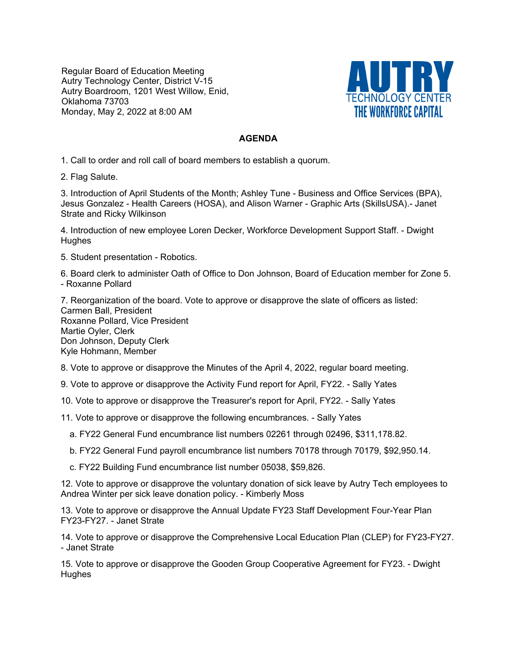Regular Board of Education Meeting Autry Technology Center, District V-15 Autry Boardroom, 1201 West Willow, Enid, Oklahoma 73703 Monday, May 2, 2022 at 8:00 AM



## **AGENDA**

1. Call to order and roll call of board members to establish a quorum.

2. Flag Salute.

3. Introduction of April Students of the Month; Ashley Tune - Business and Office Services (BPA), Jesus Gonzalez - Health Careers (HOSA), and Alison Warner - Graphic Arts (SkillsUSA).- Janet Strate and Ricky Wilkinson

4. Introduction of new employee Loren Decker, Workforce Development Support Staff. - Dwight **Hughes** 

5. Student presentation - Robotics.

6. Board clerk to administer Oath of Office to Don Johnson, Board of Education member for Zone 5. - Roxanne Pollard

7. Reorganization of the board. Vote to approve or disapprove the slate of officers as listed: Carmen Ball, President Roxanne Pollard, Vice President Martie Oyler, Clerk Don Johnson, Deputy Clerk Kyle Hohmann, Member

8. Vote to approve or disapprove the Minutes of the April 4, 2022, regular board meeting.

9. Vote to approve or disapprove the Activity Fund report for April, FY22. - Sally Yates

10. Vote to approve or disapprove the Treasurer's report for April, FY22. - Sally Yates

11. Vote to approve or disapprove the following encumbrances. - Sally Yates

a. FY22 General Fund encumbrance list numbers 02261 through 02496, \$311,178.82.

b. FY22 General Fund payroll encumbrance list numbers 70178 through 70179, \$92,950.14.

c. FY22 Building Fund encumbrance list number 05038, \$59,826.

12. Vote to approve or disapprove the voluntary donation of sick leave by Autry Tech employees to Andrea Winter per sick leave donation policy. - Kimberly Moss

13. Vote to approve or disapprove the Annual Update FY23 Staff Development Four-Year Plan FY23-FY27. - Janet Strate

14. Vote to approve or disapprove the Comprehensive Local Education Plan (CLEP) for FY23-FY27. - Janet Strate

15. Vote to approve or disapprove the Gooden Group Cooperative Agreement for FY23. - Dwight **Hughes**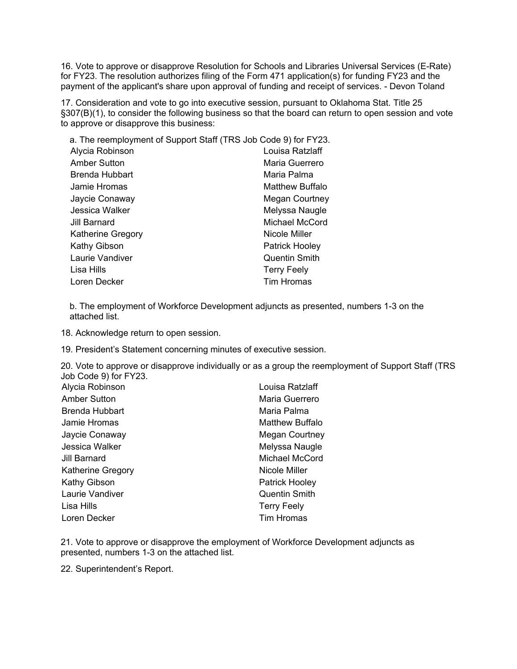16. Vote to approve or disapprove Resolution for Schools and Libraries Universal Services (E-Rate) for FY23. The resolution authorizes filing of the Form 471 application(s) for funding FY23 and the payment of the applicant's share upon approval of funding and receipt of services. - Devon Toland

17. Consideration and vote to go into executive session, pursuant to Oklahoma Stat. Title 25 §307(B)(1), to consider the following business so that the board can return to open session and vote to approve or disapprove this business:

| a. The reemployment of Support Staff (TRS Job Code 9) for FY23. |                       |
|-----------------------------------------------------------------|-----------------------|
| Alycia Robinson                                                 | Louisa Ratzlaff       |
| Amber Sutton                                                    | Maria Guerrero        |
| Brenda Hubbart                                                  | Maria Palma           |
| Jamie Hromas                                                    | Matthew Buffalo       |
| Jaycie Conaway                                                  | <b>Megan Courtney</b> |
| Jessica Walker                                                  | Melyssa Naugle        |
| Jill Barnard                                                    | Michael McCord        |
| <b>Katherine Gregory</b>                                        | Nicole Miller         |
| <b>Kathy Gibson</b>                                             | Patrick Hooley        |
| Laurie Vandiver                                                 | <b>Quentin Smith</b>  |
| Lisa Hills                                                      | <b>Terry Feely</b>    |
| Loren Decker                                                    | <b>Tim Hromas</b>     |

b. The employment of Workforce Development adjuncts as presented, numbers 1-3 on the attached list.

18. Acknowledge return to open session.

19. President's Statement concerning minutes of executive session.

20. Vote to approve or disapprove individually or as a group the reemployment of Support Staff (TRS Job Code 9) for FY23.

| Alycia Robinson          | Louisa Ratzlaff       |
|--------------------------|-----------------------|
| <b>Amber Sutton</b>      | Maria Guerrero        |
| <b>Brenda Hubbart</b>    | Maria Palma           |
| Jamie Hromas             | Matthew Buffalo       |
| Jaycie Conaway           | <b>Megan Courtney</b> |
| Jessica Walker           | Melyssa Naugle        |
| Jill Barnard             | Michael McCord        |
| <b>Katherine Gregory</b> | Nicole Miller         |
| Kathy Gibson             | Patrick Hooley        |
| Laurie Vandiver          | <b>Quentin Smith</b>  |
| Lisa Hills               | <b>Terry Feely</b>    |
| Loren Decker             | <b>Tim Hromas</b>     |

21. Vote to approve or disapprove the employment of Workforce Development adjuncts as presented, numbers 1-3 on the attached list.

22. Superintendent's Report.